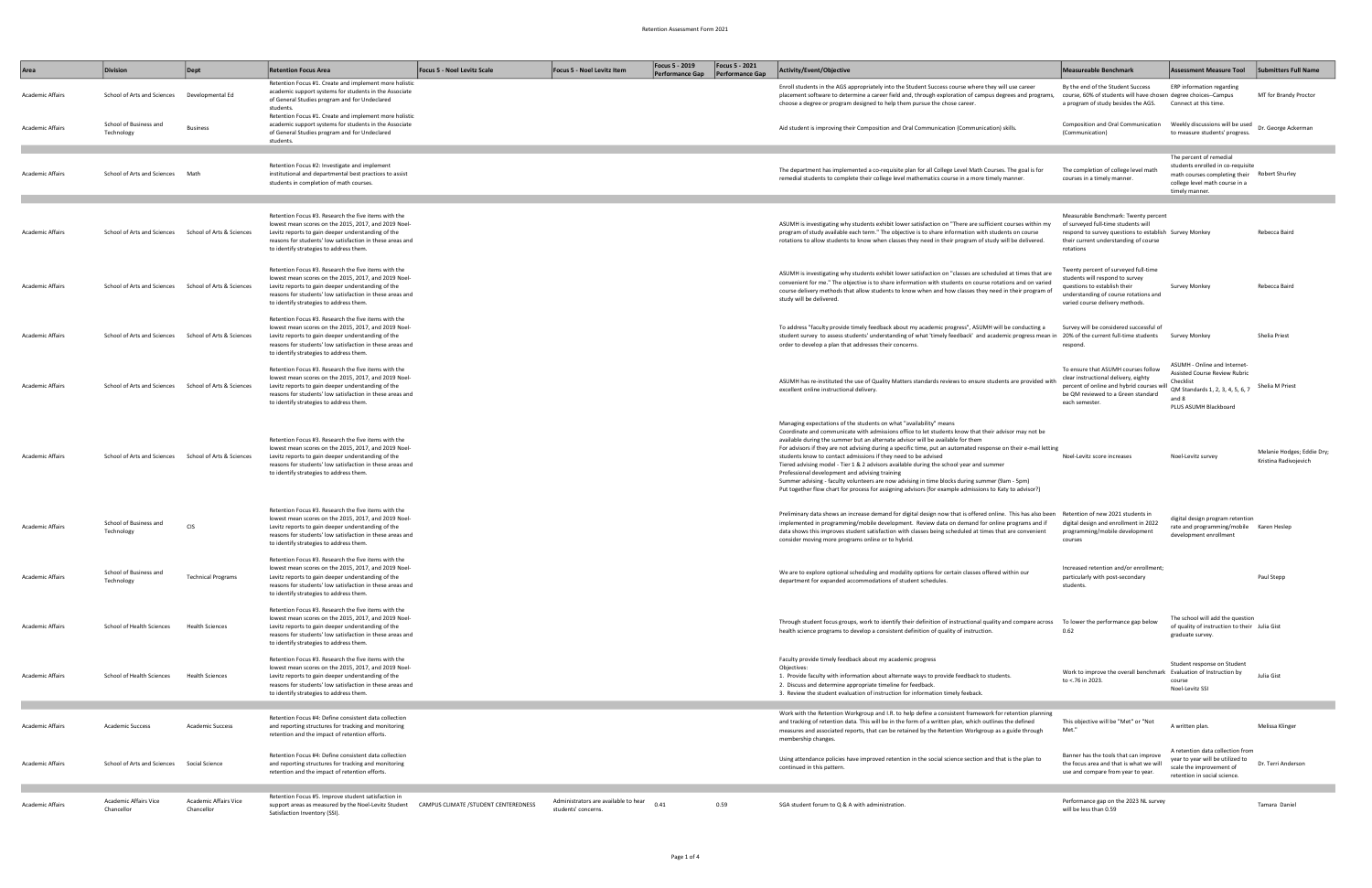| Area                    | <b>Division</b>                                       | Dept                                | <b>Retention Focus Area</b>                                                                                                                                                                                                                                                | <b>Focus 5 - Noel Levitz Scale</b>    | Focus 5 - Noel Levitz Item                                  | <b>Focus 5 - 2019</b><br><b>Performance Gap</b> | <b>Focus 5 - 2021</b><br>Performance Gap | Activity/Event/Objective                                                                                                                                                                                                                                                                                                                                                                                                                                                                                                                                                                                                                                                                                                                                                                                     | <b>Measureable Benchmark</b>                                                                                                                                                                | <b>Assessment Measure Tool</b>                                                                                                                                   | <b>Submitters Full Name</b>                         |
|-------------------------|-------------------------------------------------------|-------------------------------------|----------------------------------------------------------------------------------------------------------------------------------------------------------------------------------------------------------------------------------------------------------------------------|---------------------------------------|-------------------------------------------------------------|-------------------------------------------------|------------------------------------------|--------------------------------------------------------------------------------------------------------------------------------------------------------------------------------------------------------------------------------------------------------------------------------------------------------------------------------------------------------------------------------------------------------------------------------------------------------------------------------------------------------------------------------------------------------------------------------------------------------------------------------------------------------------------------------------------------------------------------------------------------------------------------------------------------------------|---------------------------------------------------------------------------------------------------------------------------------------------------------------------------------------------|------------------------------------------------------------------------------------------------------------------------------------------------------------------|-----------------------------------------------------|
| Academic Affairs        | School of Arts and Sciences                           | Developmental Ed                    | Retention Focus #1. Create and implement more holistic<br>academic support systems for students in the Associate<br>of General Studies program and for Undeclared<br>students.                                                                                             |                                       |                                                             |                                                 |                                          | Enroll students in the AGS appropriately into the Student Success course where they will use career<br>placement software to determine a career field and, through exploration of campus degrees and programs, course, 60% of students will have chosen degree choices--Campus<br>choose a degree or program designed to help them pursue the chose career.                                                                                                                                                                                                                                                                                                                                                                                                                                                  | By the end of the Student Success<br>a program of study besides the AGS.                                                                                                                    | ERP information regarding<br>Connect at this time.                                                                                                               | MT for Brandy Proctor                               |
| Academic Affairs        | School of Business and<br>Technology                  | <b>Business</b>                     | Retention Focus #1. Create and implement more holistic<br>academic support systems for students in the Associate<br>of General Studies program and for Undeclared<br>students                                                                                              |                                       |                                                             |                                                 |                                          | Aid student is improving their Composition and Oral Communication (Communication) skills.                                                                                                                                                                                                                                                                                                                                                                                                                                                                                                                                                                                                                                                                                                                    | Composition and Oral Communication<br>(Communication)                                                                                                                                       | Weekly discussions will be used<br>to measure students' progress.                                                                                                | Dr. George Ackerman                                 |
| Academic Affairs        | School of Arts and Sciences Math                      |                                     | Retention Focus #2: Investigate and implement<br>institutional and departmental best practices to assist<br>students in completion of math courses.                                                                                                                        |                                       |                                                             |                                                 |                                          | The department has implemented a co-requisite plan for all College Level Math Courses. The goal is for<br>remedial students to complete their college level mathematics course in a more timely manner.                                                                                                                                                                                                                                                                                                                                                                                                                                                                                                                                                                                                      | The completion of college level math<br>courses in a timely manner.                                                                                                                         | The percent of remedial<br>students enrolled in co-requisite<br>math courses completing their Robert Shurley<br>college level math course in a<br>timely manner. |                                                     |
| <b>Academic Affairs</b> | School of Arts and Sciences School of Arts & Sciences |                                     | Retention Focus #3. Research the five items with the<br>lowest mean scores on the 2015, 2017, and 2019 Noel-<br>Levitz reports to gain deeper understanding of the<br>reasons for students' low satisfaction in these areas and<br>to identify strategies to address them. |                                       |                                                             |                                                 |                                          | ASUMH is investigating why students exhibit lower satisfaction on "There are sufficient courses within my<br>program of study available each term." The objective is to share information with students on course<br>rotations to allow students to know when classes they need in their program of study will be delivered.                                                                                                                                                                                                                                                                                                                                                                                                                                                                                 | Measurable Benchmark: Twenty percent<br>of surveyed full-time students will<br>respond to survey questions to establish Survey Monkey<br>their current understanding of course<br>rotations |                                                                                                                                                                  | Rebecca Baird                                       |
| Academic Affairs        | School of Arts and Sciences School of Arts & Sciences |                                     | Retention Focus #3. Research the five items with the<br>lowest mean scores on the 2015, 2017, and 2019 Noel-<br>Levitz reports to gain deeper understanding of the<br>reasons for students' low satisfaction in these areas and<br>to identify strategies to address them. |                                       |                                                             |                                                 |                                          | ASUMH is investigating why students exhibit lower satisfaction on "classes are scheduled at times that are<br>convenient for me." The objective is to share information with students on course rotations and on varied<br>course delivery methods that allow students to know when and how classes they need in their program of<br>study will be delivered.                                                                                                                                                                                                                                                                                                                                                                                                                                                | Twenty percent of surveyed full-time<br>tudents will respond to survey<br>questions to establish their<br>understanding of course rotations and<br>varied course delivery methods.          | <b>Survey Monkey</b>                                                                                                                                             | Rebecca Baird                                       |
| <b>Academic Affairs</b> | School of Arts and Sciences School of Arts & Sciences |                                     | Retention Focus #3. Research the five items with the<br>lowest mean scores on the 2015, 2017, and 2019 Noel-<br>Levitz reports to gain deeper understanding of the<br>reasons for students' low satisfaction in these areas and<br>to identify strategies to address them. |                                       |                                                             |                                                 |                                          | To address "faculty provide timely feedback about my academic progress", ASUMH will be conducting a<br>student survey to assess students' understanding of what 'timely feedback' and academic progress mean in 20% of the current full-time students Survey Monkey<br>order to develop a plan that addresses their concerns.                                                                                                                                                                                                                                                                                                                                                                                                                                                                                | Survey will be considered successful of<br>respond                                                                                                                                          |                                                                                                                                                                  | Shelia Priest                                       |
| Academic Affairs        | School of Arts and Sciences School of Arts & Sciences |                                     | Retention Focus #3. Research the five items with the<br>lowest mean scores on the 2015, 2017, and 2019 Noel-<br>Levitz reports to gain deeper understanding of the<br>reasons for students' low satisfaction in these areas and<br>to identify strategies to address them. |                                       |                                                             |                                                 |                                          | ASUMH has re-instituted the use of Quality Matters standards reviews to ensure students are provided with<br>excellent online instructional delivery.                                                                                                                                                                                                                                                                                                                                                                                                                                                                                                                                                                                                                                                        | To ensure that ASUMH courses follow<br>clear instructional delivery, eighty<br>bercent of online and hybrid courses will<br>be QM reviewed to a Green standard<br>each semester.            | ASUMH - Online and Internet-<br><b>Assisted Course Review Rubric</b><br>Checklist<br>QM Standards 1, 2, 3, 4, 5, 6, 7<br>and 8<br>PLUS ASUMH Blackboard          | Shelia M Priest                                     |
| Academic Affairs        | School of Arts and Sciences School of Arts & Sciences |                                     | Retention Focus #3. Research the five items with the<br>lowest mean scores on the 2015, 2017, and 2019 Noel-<br>Levitz reports to gain deeper understanding of the<br>reasons for students' low satisfaction in these areas and<br>to identify strategies to address them. |                                       |                                                             |                                                 |                                          | Managing expectations of the students on what "availability" means<br>Coordinate and communicate with admissions office to let students know that their advisor may not be<br>available during the summer but an alternate advisor will be available for them<br>For advisors if they are not advising during a specific time, put an automated response on their e-mail letting<br>students know to contact admissions if they need to be advised<br>Tiered advising model - Tier 1 & 2 advisors available during the school year and summer<br>Professional development and advising training<br>Summer advising - faculty volunteers are now advising in time blocks during summer (9am - 5pm)<br>Put together flow chart for process for assigning advisors (for example admissions to Katy to advisor?) | Noel-Levitz score increases                                                                                                                                                                 | Noel-Levitz survey                                                                                                                                               | Melanie Hodges; Eddie Dry;<br>Kristina Radivojevich |
| Academic Affairs        | School of Business and<br>Technology                  | CIS                                 | Retention Focus #3. Research the five items with the<br>lowest mean scores on the 2015, 2017, and 2019 Noel-<br>Levitz reports to gain deeper understanding of the<br>reasons for students' low satisfaction in these areas and<br>to identify strategies to address them. |                                       |                                                             |                                                 |                                          | Preliminary data shows an increase demand for digital design now that is offered online. This has also been Retention of new 2021 students in<br>implemented in programming/mobile development. Review data on demand for online programs and if<br>data shows this improves student satisfaction with classes being scheduled at times that are convenient<br>consider moving more programs online or to hybrid.                                                                                                                                                                                                                                                                                                                                                                                            | digital design and enrollment in 2022<br>programming/mobile development<br>courses                                                                                                          | digital design program retention<br>rate and programming/mobile Karen Heslep<br>development enrollment                                                           |                                                     |
| <b>Academic Affairs</b> | School of Business and<br>Technology                  | <b>Technical Programs</b>           | Retention Focus #3. Research the five items with the<br>lowest mean scores on the 2015, 2017, and 2019 Noel-<br>Levitz reports to gain deeper understanding of the<br>reasons for students' low satisfaction in these areas and<br>to identify strategies to address them. |                                       |                                                             |                                                 |                                          | We are to explore optional scheduling and modality options for certain classes offered within our<br>department for expanded accommodations of student schedules.                                                                                                                                                                                                                                                                                                                                                                                                                                                                                                                                                                                                                                            | Increased retention and/or enrollment;<br>particularly with post-secondary<br>students.                                                                                                     |                                                                                                                                                                  | Paul Stepp                                          |
| Academic Affairs        | School of Health Sciences                             | <b>Health Sciences</b>              | Retention Focus #3. Research the five items with the<br>lowest mean scores on the 2015, 2017, and 2019 Noel-<br>Levitz reports to gain deeper understanding of the<br>reasons for students' low satisfaction in these areas and<br>to identify strategies to address them. |                                       |                                                             |                                                 |                                          | Through student focus groups, work to identify their definition of instructional quality and compare across<br>health science programs to develop a consistent definition of quality of instruction.                                                                                                                                                                                                                                                                                                                                                                                                                                                                                                                                                                                                         | To lower the performance gap below<br>0.62                                                                                                                                                  | The school will add the question<br>of quality of instruction to their Julia Gist<br>graduate survey.                                                            |                                                     |
| Academic Affairs        | School of Health Sciences                             | <b>Health Sciences</b>              | Retention Focus #3. Research the five items with the<br>lowest mean scores on the 2015, 2017, and 2019 Noel-<br>Levitz reports to gain deeper understanding of the<br>reasons for students' low satisfaction in these areas and<br>to identify strategies to address them. |                                       |                                                             |                                                 |                                          | Faculty provide timely feedback about my academic progress<br>Objectives:<br>1. Provide faculty with information about alternate ways to provide feedback to students.<br>2. Discuss and determine appropriate timeline for feedback.<br>3. Review the student evaluation of instruction for information timely feeback.                                                                                                                                                                                                                                                                                                                                                                                                                                                                                     | Work to improve the overall benchmark Evaluation of Instruction by<br>to <.76 in 2023.                                                                                                      | Student response on Student<br>course<br>Noel-Levitz SSI                                                                                                         | Julia Gist                                          |
| Academic Affairs        | <b>Academic Success</b>                               | <b>Academic Success</b>             | Retention Focus #4: Define consistent data collection<br>and reporting structures for tracking and monitoring<br>retention and the impact of retention efforts.                                                                                                            |                                       |                                                             |                                                 |                                          | Work with the Retention Workgroup and I.R. to help define a consistent framework for retention planning<br>and tracking of retention data. This will be in the form of a written plan, which outlines the defined<br>measures and associated reports, that can be retained by the Retention Workgroup as a guide through<br>membership changes.                                                                                                                                                                                                                                                                                                                                                                                                                                                              | This objective will be "Met" or "Not<br>Met.'                                                                                                                                               | A written plan.                                                                                                                                                  | Melissa Klinger                                     |
| Academic Affairs        | School of Arts and Sciences Social Science            |                                     | Retention Focus #4: Define consistent data collection<br>and reporting structures for tracking and monitoring<br>retention and the impact of retention efforts.                                                                                                            |                                       |                                                             |                                                 |                                          | Using attendance policies have improved retention in the social science section and that is the plan to<br>continued in this pattern.                                                                                                                                                                                                                                                                                                                                                                                                                                                                                                                                                                                                                                                                        | Banner has the tools that can improve<br>the focus area and that is what we will<br>use and compare from year to year.                                                                      | A retention data collection from<br>year to year will be utilized to<br>scale the improvement of<br>retention in social science.                                 | Dr. Terri Anderson                                  |
| Academic Affairs        | Academic Affairs Vice<br>Chancellor                   | Academic Affairs Vice<br>Chancellor | Retention Focus #5. Improve student satisfaction in<br>support areas as measured by the Noel-Levitz Student<br>Satisfaction Inventory (SSI).                                                                                                                               | CAMPUS CLIMATE / STUDENT CENTEREDNESS | Administrators are available to hear<br>students' concerns. | 0.41                                            | 0.59                                     | SGA student forum to Q & A with administration.                                                                                                                                                                                                                                                                                                                                                                                                                                                                                                                                                                                                                                                                                                                                                              | Performance gap on the 2023 NL survey<br>will be less than 0.59                                                                                                                             |                                                                                                                                                                  | Tamara Daniel                                       |